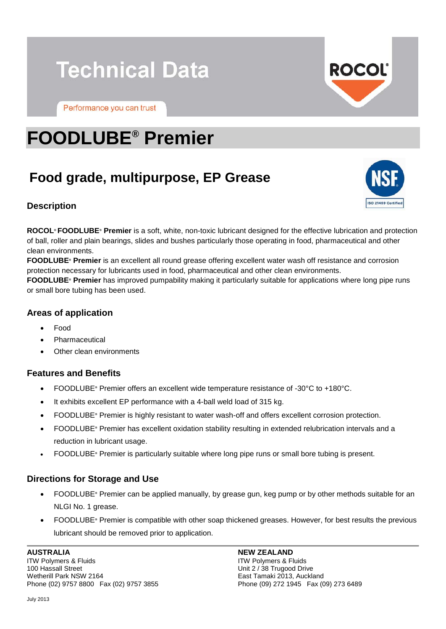# **Technical Data**

Performance you can trust



ISO 21469 Certifie

# **FOODLUBE® Premier**

# **Food grade, multipurpose, EP Grease**



**ROCOL® FOODLUBE® Premier** is a soft, white, non-toxic lubricant designed for the effective lubrication and protection of ball, roller and plain bearings, slides and bushes particularly those operating in food, pharmaceutical and other clean environments.

**FOODLUBE® Premier** is an excellent all round grease offering excellent water wash off resistance and corrosion protection necessary for lubricants used in food, pharmaceutical and other clean environments.

**FOODLUBE® Premier** has improved pumpability making it particularly suitable for applications where long pipe runs or small bore tubing has been used.

## **Areas of application**

- Food
- **Pharmaceutical**
- Other clean environments

### **Features and Benefits**

- FOODLUBE**®** Premier offers an excellent wide temperature resistance of -30°C to +180°C.
- It exhibits excellent EP performance with a 4-ball weld load of 315 kg.
- FOODLUBE**®** Premier is highly resistant to water wash-off and offers excellent corrosion protection.
- FOODLUBE**®** Premier has excellent oxidation stability resulting in extended relubrication intervals and a reduction in lubricant usage.
- FOODLUBE**®** Premier is particularly suitable where long pipe runs or small bore tubing is present.

### **Directions for Storage and Use**

- FOODLUBE**®** Premier can be applied manually, by grease gun, keg pump or by other methods suitable for an NLGI No. 1 grease.
- FOODLUBE**®** Premier is compatible with other soap thickened greases. However, for best results the previous lubricant should be removed prior to application.

**AUSTRALIA** ITW Polymers & Fluids 100 Hassall Street Wetherill Park NSW 2164 Phone (02) 9757 8800 Fax (02) 9757 3855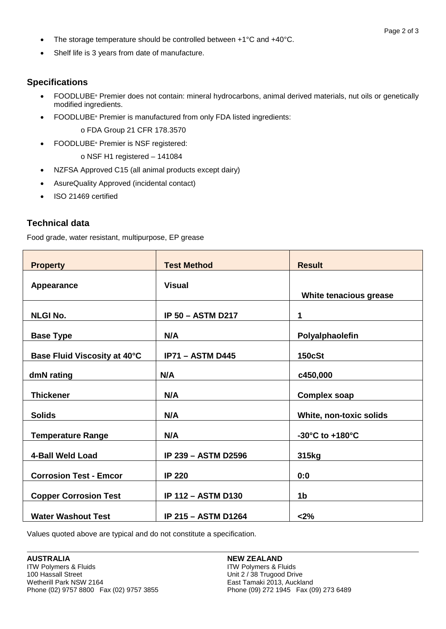- The storage temperature should be controlled between +1°C and +40°C.
- Shelf life is 3 years from date of manufacture.

### **Specifications**

- FOODLUBE**®** Premier does not contain: mineral hydrocarbons, animal derived materials, nut oils or genetically modified ingredients.
- FOODLUBE**®** Premier is manufactured from only FDA listed ingredients: o FDA Group 21 CFR 178.3570
- FOODLUBE**®** Premier is NSF registered:

o NSF H1 registered – 141084

- NZFSA Approved C15 (all animal products except dairy)
- AsureQuality Approved (incidental contact)
- ISO 21469 certified

## **Technical data**

Food grade, water resistant, multipurpose, EP grease

| <b>Property</b>               | <b>Test Method</b>         | <b>Result</b>           |
|-------------------------------|----------------------------|-------------------------|
| Appearance                    | <b>Visual</b>              | White tenacious grease  |
| <b>NLGI No.</b>               | <b>IP 50 - ASTM D217</b>   | 1                       |
| <b>Base Type</b>              | N/A                        | Polyalphaolefin         |
| Base Fluid Viscosity at 40°C  | <b>IP71 - ASTM D445</b>    | <b>150cSt</b>           |
| dmN rating                    | N/A                        | c450,000                |
| <b>Thickener</b>              | N/A                        | <b>Complex soap</b>     |
| <b>Solids</b>                 | N/A                        | White, non-toxic solids |
| <b>Temperature Range</b>      | N/A                        | -30°C to +180°C         |
| 4-Ball Weld Load              | <b>IP 239 - ASTM D2596</b> | 315kg                   |
| <b>Corrosion Test - Emcor</b> | <b>IP 220</b>              | 0:0                     |
| <b>Copper Corrosion Test</b>  | <b>IP 112 - ASTM D130</b>  | 1 <sub>b</sub>          |
| <b>Water Washout Test</b>     | <b>IP 215 - ASTM D1264</b> | < 2%                    |

Values quoted above are typical and do not constitute a specification.

#### **NEW ZEALAND**

ITW Polymers & Fluids Unit 2 / 38 Trugood Drive East Tamaki 2013, Auckland Phone (09) 272 1945 Fax (09) 273 6489